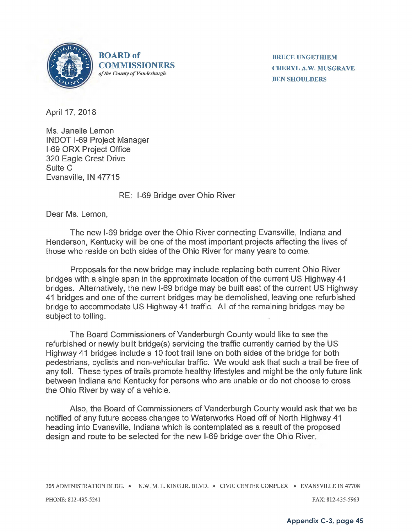

**BOARD of COMMISSIONERS**  *of the County of Vanderburgh* 

**BRUCE UNGETHIEM CHERYL A.W. MUSGRAVE BEN SHOULDERS** 

April 17, 2018

Ms. Janelle Lemon INDOT 1-69 Project Manager 1-69 ORX Project Office 320 Eagle Crest Drive Suite C Evansville, IN 47715

RE: 1-69 Bridge over Ohio River

Dear Ms. Lemon,

The new 1-69 bridge over the Ohio River connecting Evansville, Indiana and Henderson, Kentucky will be one of the most important projects affecting the lives of those who reside on both sides of the Ohio River for many years to come.

Proposals for the new bridge may include replacing both current Ohio River bridges with a single span in the approximate location of the current US Highway 41 bridges. Alternatively, the new 1-69 bridge may be built east of the current US Highway 41 bridges and one of the current bridges may be demolished, leaving one refurbished bridge to accommodate US Highway 41 traffic. All of the remaining bridges may be subject to tolling.

The Board Commissioners of Vanderburgh County would like to see the refurbished or newly built bridge(s) servicing the traffic currently carried by the US Highway 41 bridges include a 10 foot trail lane on both sides of the bridge for both pedestrians, cyclists and non-vehicular traffic. We would ask that such a trail be free of any toll. These types of trails promote healthy lifestyles and might be the only future link between Indiana and Kentucky for persons who are unable or do not choose to cross the Ohio River by way of a vehicle.

Also, the Board of Commissioners of Vanderburgh County would ask that we be notified of any future access changes to Waterworks Road off of North Highway 41 heading into Evansville, Indiana which is contemplated as a result of the proposed design and route to be selected for the new 1-69 bridge over the Ohio River.

305 ADMINISTRATION BLDG. • N.W. M. L. KING JR. BLVD. • CIVIC CENTER COMPLEX • EVANSVILLE IN 47708

PHONE: 812-435-5241 FAX: 812-435-5963